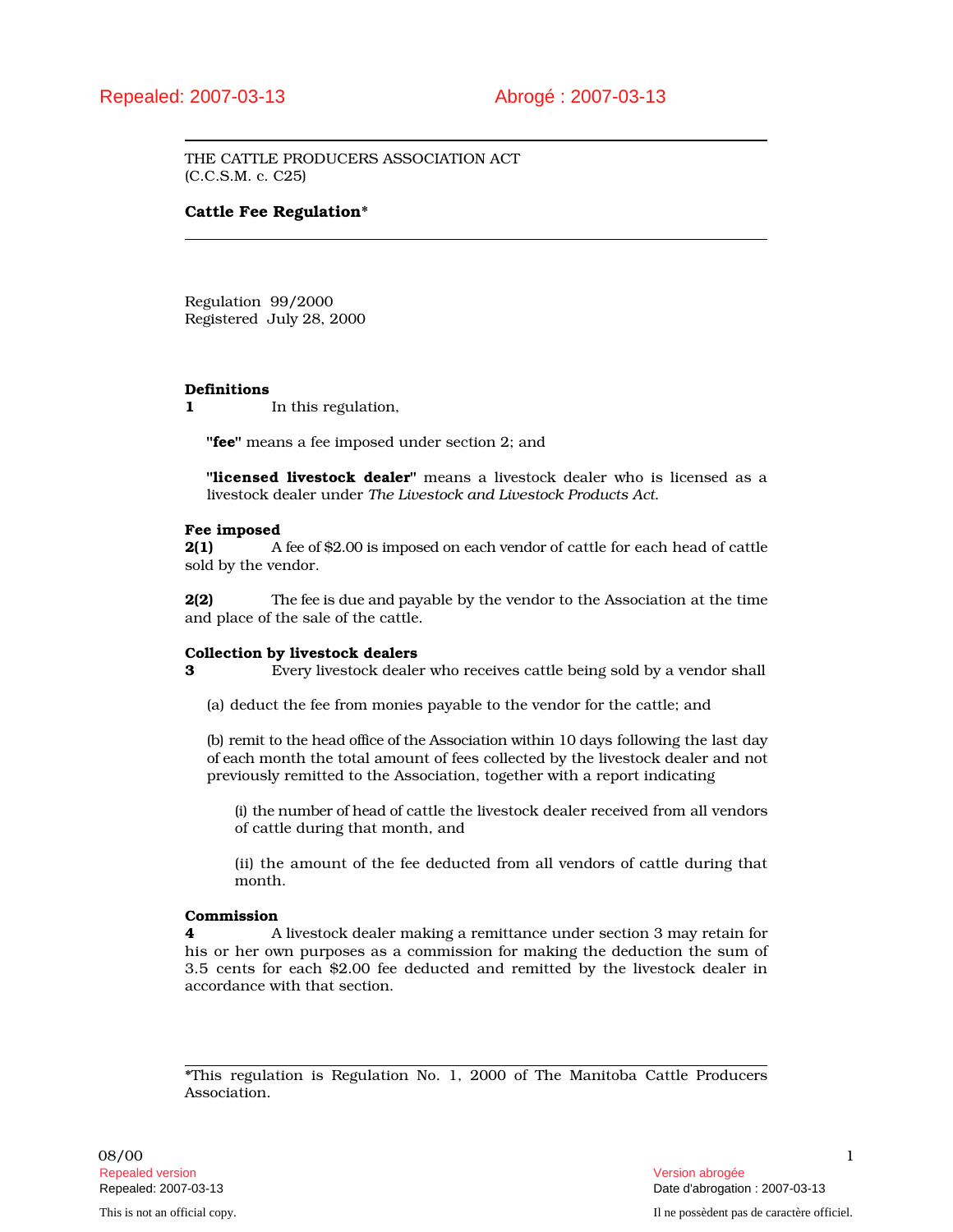THE CATTLE PRODUCERS ASSOCIATION ACT (C.C.S.M. c. C25)

# Cattle Fee Regulation\*

Regulation 99/2000 Registered July 28, 2000

# Definitions

1 In this regulation,

"fee" means a fee imposed under section 2; and

"licensed livestock dealer" means a livestock dealer who is licensed as a livestock dealer under *The Livestock and Livestock Products Act*.

### Fee imposed

2(1) A fee of \$2.00 is imposed on each vendor of cattle for each head of cattle sold by the vendor.

2(2) The fee is due and payable by the vendor to the Association at the time and place of the sale of the cattle.

### Collection by livestock dealers

3 Every livestock dealer who receives cattle being sold by a vendor shall

(a) deduct the fee from monies payable to the vendor for the cattle; and

(b) remit to the head office of the Association within 10 days following the last day of each month the total amount of fees collected by the livestock dealer and not previously remitted to the Association, together with a report indicating

(i) the number of head of cattle the livestock dealer received from all vendors of cattle during that month, and

(ii) the amount of the fee deducted from all vendors of cattle during that month.

### Commission

4 A livestock dealer making a remittance under section 3 may retain for his or her own purposes as a commission for making the deduction the sum of 3.5 cents for each \$2.00 fee deducted and remitted by the livestock dealer in accordance with that section.

\*This regulation is Regulation No. 1, 2000 of The Manitoba Cattle Producers Association.

08/00 1 and 1 and 1 and 1 and 1 and 1 and 1 and 1 and 1 and 1 and 1 and 1 and 1 and 1 and 1 and 1 and 1 and 1 Repealed version abrogée et al. Alian abrogée et al. Alian abrogée et al. Alian abrogée et al. Alian abrogée e

Repealed: 2007-03-13 Date d'abrogation : 2007-03-13 This is not an official copy. Il ne possèdent pas de caractère officiel.